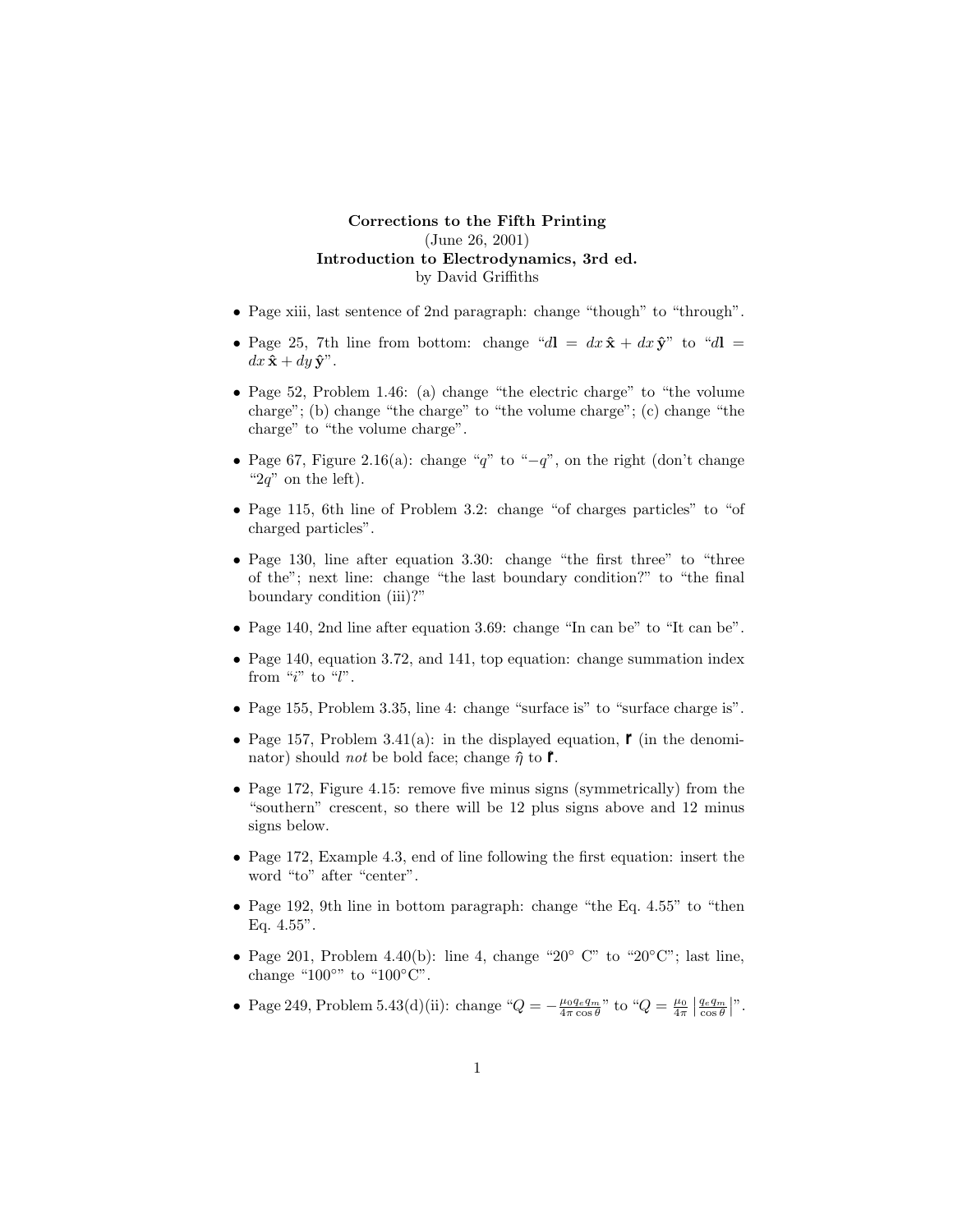## **Corrections to the Fifth Printing** (June 26, 2001) **Introduction to Electrodynamics, 3rd ed.** by David Griffiths

- Page xiii, last sentence of 2nd paragraph: change "though" to "through".
- Page 25, 7th line from bottom: change " $d\mathbf{l} = dx \hat{\mathbf{x}} + dx \hat{\mathbf{y}}$ " to " $d\mathbf{l} =$  $dx \hat{\mathbf{x}} + dy \hat{\mathbf{y}}^n$ .
- Page 52, Problem 1.46: (a) change "the electric charge" to "the volume charge"; (b) change "the charge" to "the volume charge"; (c) change "the charge" to "the volume charge".
- Page 67, Figure 2.16(a): change "*q*" to "−*q*", on the right (don't change " $2q$ " on the left).
- Page 115, 6th line of Problem 3.2: change "of charges particles" to "of charged particles".
- Page 130, line after equation 3.30: change "the first three" to "three" of the"; next line: change "the last boundary condition?" to "the final boundary condition (iii)?"
- Page 140, 2nd line after equation 3.69: change "In can be" to "It can be".
- Page 140, equation 3.72, and 141, top equation: change summation index from "*i*" to "*l*".
- Page 155, Problem 3.35, line 4: change "surface is" to "surface charge is".
- Page 157, Problem 3.41(a): in the displayed equation,  *(in the denomi*nator) should *not* be bold face; change  $\hat{\eta}$  to  $\hat{\ell}$ .
- Page 172, Figure 4.15: remove five minus signs (symmetrically) from the "southern" crescent, so there will be 12 plus signs above and 12 minus signs below.
- Page 172, Example 4.3, end of line following the first equation: insert the word "to" after "center".
- Page 192, 9th line in bottom paragraph: change "the Eq. 4.55" to "then Eq. 4.55".
- Page 201, Problem 4.40(b): line 4, change "20° C" to "20°C"; last line, change " $100^{\circ}$ " to " $100^{\circ}$ C".
- Page 249, Problem 5.43(d)(ii): change " $Q = -\frac{\mu_0 q_e q_m}{4\pi \cos \theta}$ " to " $Q = \frac{\mu_0}{4\pi} \left| \frac{q_e q_m}{\cos \theta} \right|$ ".